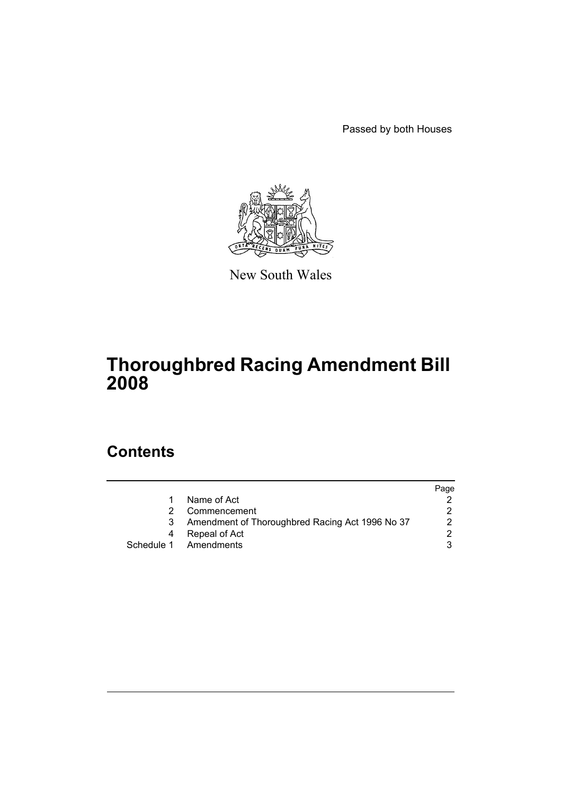Passed by both Houses



New South Wales

# **Thoroughbred Racing Amendment Bill 2008**

# **Contents**

|   |                                                 | Page |
|---|-------------------------------------------------|------|
|   | Name of Act                                     |      |
|   | Commencement                                    |      |
| 3 | Amendment of Thoroughbred Racing Act 1996 No 37 |      |
| 4 | Repeal of Act                                   |      |
|   | Schedule 1 Amendments                           |      |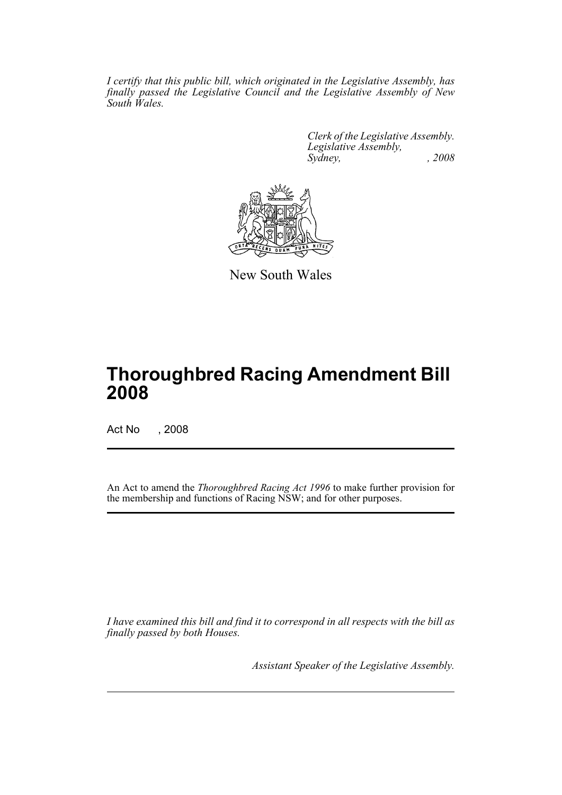*I certify that this public bill, which originated in the Legislative Assembly, has finally passed the Legislative Council and the Legislative Assembly of New South Wales.*

> *Clerk of the Legislative Assembly. Legislative Assembly, Sydney, , 2008*



New South Wales

# **Thoroughbred Racing Amendment Bill 2008**

Act No , 2008

An Act to amend the *Thoroughbred Racing Act 1996* to make further provision for the membership and functions of Racing NSW; and for other purposes.

*I have examined this bill and find it to correspond in all respects with the bill as finally passed by both Houses.*

*Assistant Speaker of the Legislative Assembly.*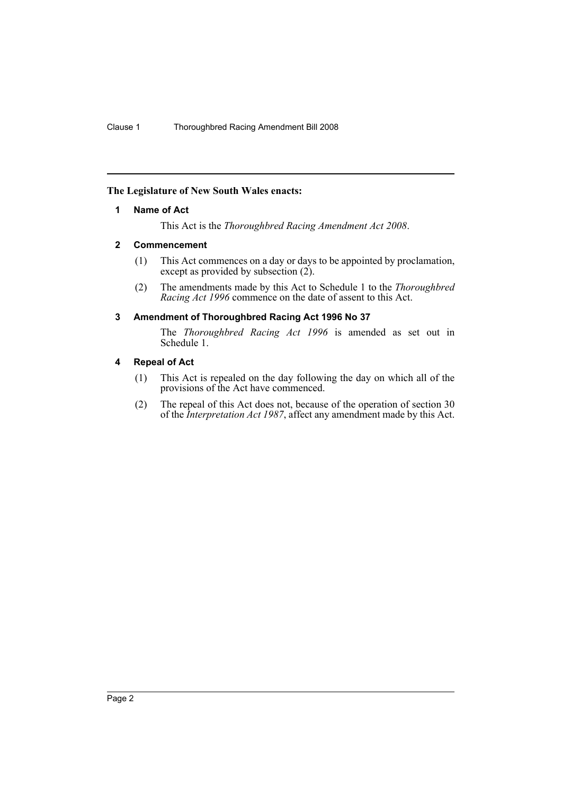# <span id="page-2-0"></span>**The Legislature of New South Wales enacts:**

#### **1 Name of Act**

This Act is the *Thoroughbred Racing Amendment Act 2008*.

#### <span id="page-2-1"></span>**2 Commencement**

- (1) This Act commences on a day or days to be appointed by proclamation, except as provided by subsection  $(2)$ .
- (2) The amendments made by this Act to Schedule 1 to the *Thoroughbred Racing Act 1996* commence on the date of assent to this Act.

#### <span id="page-2-2"></span>**3 Amendment of Thoroughbred Racing Act 1996 No 37**

The *Thoroughbred Racing Act 1996* is amended as set out in Schedule 1.

#### <span id="page-2-3"></span>**4 Repeal of Act**

- (1) This Act is repealed on the day following the day on which all of the provisions of the Act have commenced.
- (2) The repeal of this Act does not, because of the operation of section 30 of the *Interpretation Act 1987*, affect any amendment made by this Act.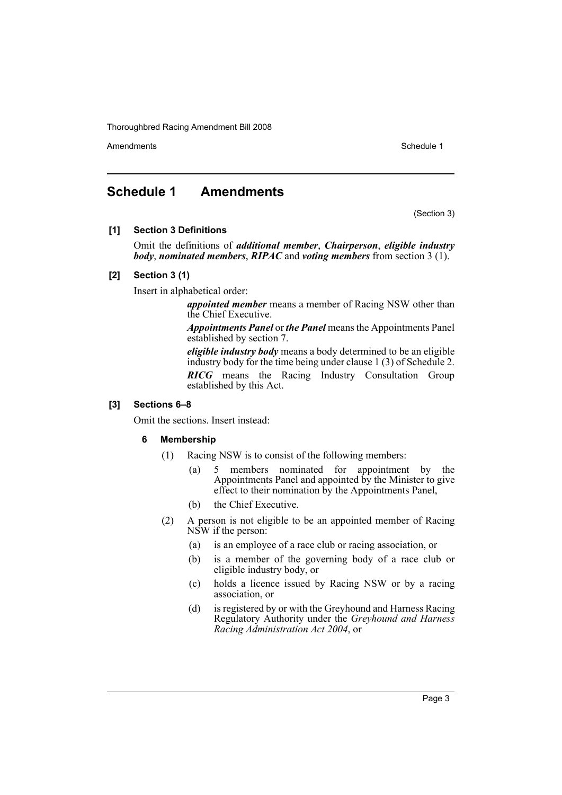Amendments **Schedule 1** and the set of the set of the set of the set of the set of the set of the set of the set of the set of the set of the set of the set of the set of the set of the set of the set of the set of the set

# <span id="page-3-0"></span>**Schedule 1 Amendments**

(Section 3)

#### **[1] Section 3 Definitions**

Omit the definitions of *additional member*, *Chairperson*, *eligible industry body*, *nominated members*, *RIPAC* and *voting members* from section 3 (1).

#### **[2] Section 3 (1)**

Insert in alphabetical order:

*appointed member* means a member of Racing NSW other than the Chief Executive.

*Appointments Panel* or *the Panel* means the Appointments Panel established by section 7.

*eligible industry body* means a body determined to be an eligible industry body for the time being under clause 1 (3) of Schedule 2. *RICG* means the Racing Industry Consultation Group established by this Act.

# **[3] Sections 6–8**

Omit the sections. Insert instead:

# **6 Membership**

- (1) Racing NSW is to consist of the following members:
	- (a) 5 members nominated for appointment by the Appointments Panel and appointed by the Minister to give effect to their nomination by the Appointments Panel,
	- (b) the Chief Executive.
- (2) A person is not eligible to be an appointed member of Racing NSW if the person:
	- (a) is an employee of a race club or racing association, or
	- (b) is a member of the governing body of a race club or eligible industry body, or
	- (c) holds a licence issued by Racing NSW or by a racing association, or
	- (d) is registered by or with the Greyhound and Harness Racing Regulatory Authority under the *Greyhound and Harness Racing Administration Act 2004*, or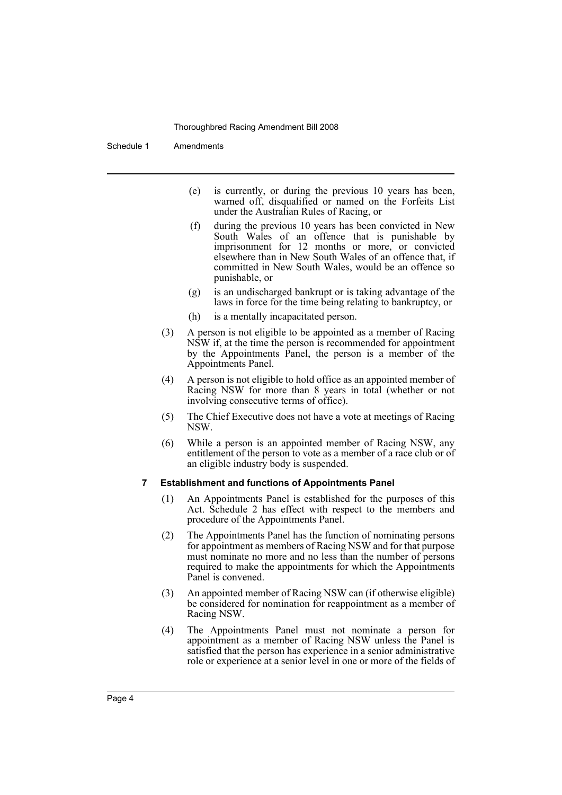Schedule 1 Amendments

- (e) is currently, or during the previous 10 years has been, warned off, disqualified or named on the Forfeits List under the Australian Rules of Racing, or
- (f) during the previous 10 years has been convicted in New South Wales of an offence that is punishable by imprisonment for 12 months or more, or convicted elsewhere than in New South Wales of an offence that, if committed in New South Wales, would be an offence so punishable, or
- (g) is an undischarged bankrupt or is taking advantage of the laws in force for the time being relating to bankruptcy, or
- (h) is a mentally incapacitated person.
- (3) A person is not eligible to be appointed as a member of Racing NSW if, at the time the person is recommended for appointment by the Appointments Panel, the person is a member of the Appointments Panel.
- (4) A person is not eligible to hold office as an appointed member of Racing NSW for more than 8 years in total (whether or not involving consecutive terms of office).
- (5) The Chief Executive does not have a vote at meetings of Racing NSW.
- (6) While a person is an appointed member of Racing NSW, any entitlement of the person to vote as a member of a race club or of an eligible industry body is suspended.

#### **7 Establishment and functions of Appointments Panel**

- (1) An Appointments Panel is established for the purposes of this Act. Schedule 2 has effect with respect to the members and procedure of the Appointments Panel.
- (2) The Appointments Panel has the function of nominating persons for appointment as members of Racing NSW and for that purpose must nominate no more and no less than the number of persons required to make the appointments for which the Appointments Panel is convened.
- (3) An appointed member of Racing NSW can (if otherwise eligible) be considered for nomination for reappointment as a member of Racing NSW.
- (4) The Appointments Panel must not nominate a person for appointment as a member of Racing NSW unless the Panel is satisfied that the person has experience in a senior administrative role or experience at a senior level in one or more of the fields of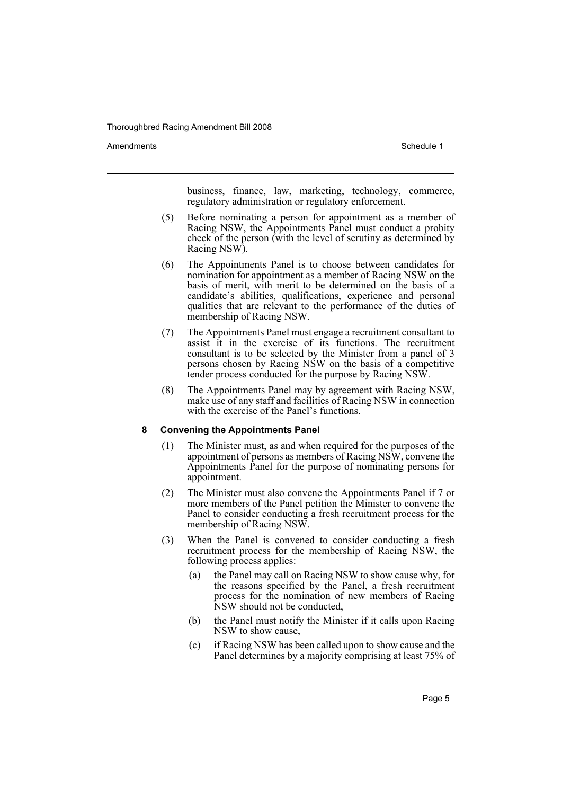Amendments **Amendments** Schedule 1

business, finance, law, marketing, technology, commerce, regulatory administration or regulatory enforcement.

- (5) Before nominating a person for appointment as a member of Racing NSW, the Appointments Panel must conduct a probity check of the person (with the level of scrutiny as determined by Racing NSW).
- (6) The Appointments Panel is to choose between candidates for nomination for appointment as a member of Racing NSW on the basis of merit, with merit to be determined on the basis of a candidate's abilities, qualifications, experience and personal qualities that are relevant to the performance of the duties of membership of Racing NSW.
- (7) The Appointments Panel must engage a recruitment consultant to assist it in the exercise of its functions. The recruitment consultant is to be selected by the Minister from a panel of 3 persons chosen by Racing NSW on the basis of a competitive tender process conducted for the purpose by Racing NSW.
- (8) The Appointments Panel may by agreement with Racing NSW, make use of any staff and facilities of Racing NSW in connection with the exercise of the Panel's functions.

# **8 Convening the Appointments Panel**

- (1) The Minister must, as and when required for the purposes of the appointment of persons as members of Racing NSW, convene the Appointments Panel for the purpose of nominating persons for appointment.
- (2) The Minister must also convene the Appointments Panel if 7 or more members of the Panel petition the Minister to convene the Panel to consider conducting a fresh recruitment process for the membership of Racing NSW.
- (3) When the Panel is convened to consider conducting a fresh recruitment process for the membership of Racing NSW, the following process applies:
	- (a) the Panel may call on Racing NSW to show cause why, for the reasons specified by the Panel, a fresh recruitment process for the nomination of new members of Racing NSW should not be conducted,
	- (b) the Panel must notify the Minister if it calls upon Racing NSW to show cause,
	- (c) if Racing NSW has been called upon to show cause and the Panel determines by a majority comprising at least 75% of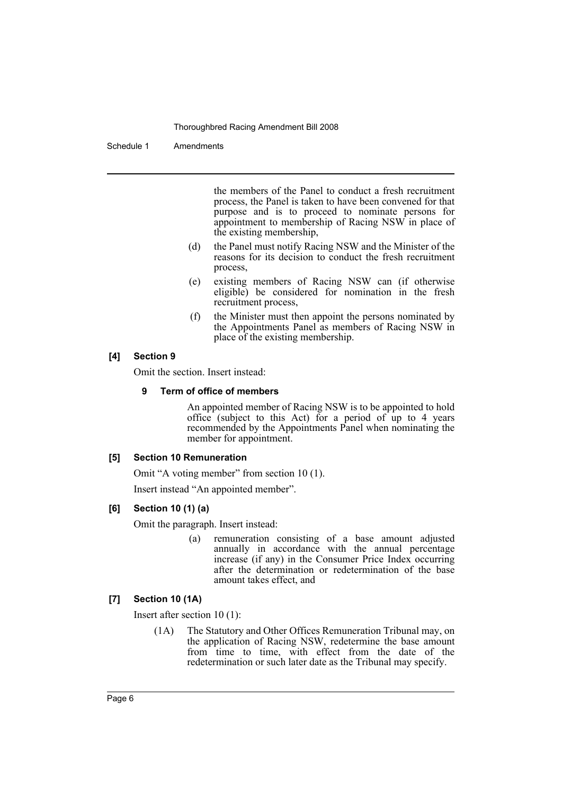Schedule 1 Amendments

the members of the Panel to conduct a fresh recruitment process, the Panel is taken to have been convened for that purpose and is to proceed to nominate persons for appointment to membership of Racing NSW in place of the existing membership,

- (d) the Panel must notify Racing NSW and the Minister of the reasons for its decision to conduct the fresh recruitment process,
- (e) existing members of Racing NSW can (if otherwise eligible) be considered for nomination in the fresh recruitment process,
- (f) the Minister must then appoint the persons nominated by the Appointments Panel as members of Racing NSW in place of the existing membership.

#### **[4] Section 9**

Omit the section. Insert instead:

#### **9 Term of office of members**

An appointed member of Racing NSW is to be appointed to hold office (subject to this Act) for a period of up to 4 years recommended by the Appointments Panel when nominating the member for appointment.

#### **[5] Section 10 Remuneration**

Omit "A voting member" from section 10 (1).

Insert instead "An appointed member".

#### **[6] Section 10 (1) (a)**

Omit the paragraph. Insert instead:

(a) remuneration consisting of a base amount adjusted annually in accordance with the annual percentage increase (if any) in the Consumer Price Index occurring after the determination or redetermination of the base amount takes effect, and

# **[7] Section 10 (1A)**

Insert after section 10 (1):

(1A) The Statutory and Other Offices Remuneration Tribunal may, on the application of Racing NSW, redetermine the base amount from time to time, with effect from the date of the redetermination or such later date as the Tribunal may specify.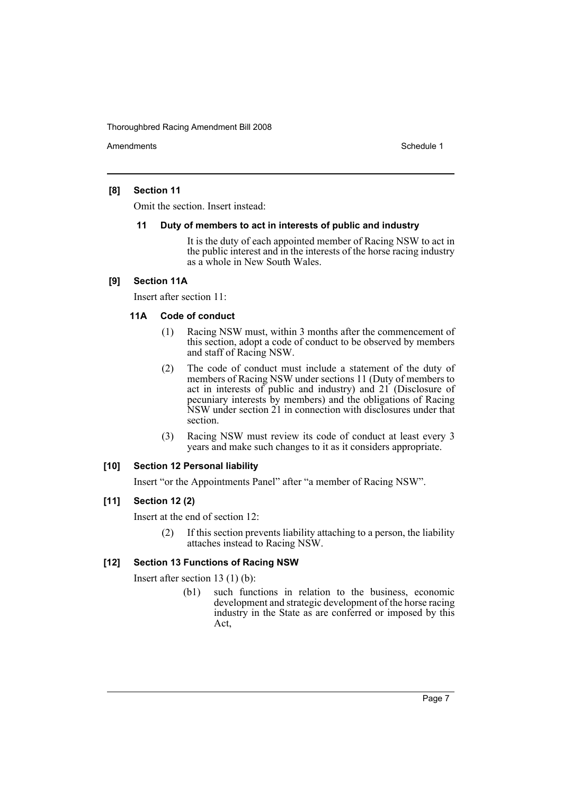Amendments **Amendments** Schedule 1

# **[8] Section 11**

Omit the section. Insert instead:

#### **11 Duty of members to act in interests of public and industry**

It is the duty of each appointed member of Racing NSW to act in the public interest and in the interests of the horse racing industry as a whole in New South Wales.

# **[9] Section 11A**

Insert after section 11:

# **11A Code of conduct**

- (1) Racing NSW must, within 3 months after the commencement of this section, adopt a code of conduct to be observed by members and staff of Racing NSW.
- (2) The code of conduct must include a statement of the duty of members of Racing NSW under sections 11 (Duty of members to act in interests of public and industry) and 21 (Disclosure of pecuniary interests by members) and the obligations of Racing NSW under section 21 in connection with disclosures under that section.
- (3) Racing NSW must review its code of conduct at least every 3 years and make such changes to it as it considers appropriate.

# **[10] Section 12 Personal liability**

Insert "or the Appointments Panel" after "a member of Racing NSW".

# **[11] Section 12 (2)**

Insert at the end of section 12:

(2) If this section prevents liability attaching to a person, the liability attaches instead to Racing NSW.

# **[12] Section 13 Functions of Racing NSW**

Insert after section 13 (1) (b):

(b1) such functions in relation to the business, economic development and strategic development of the horse racing industry in the State as are conferred or imposed by this Act,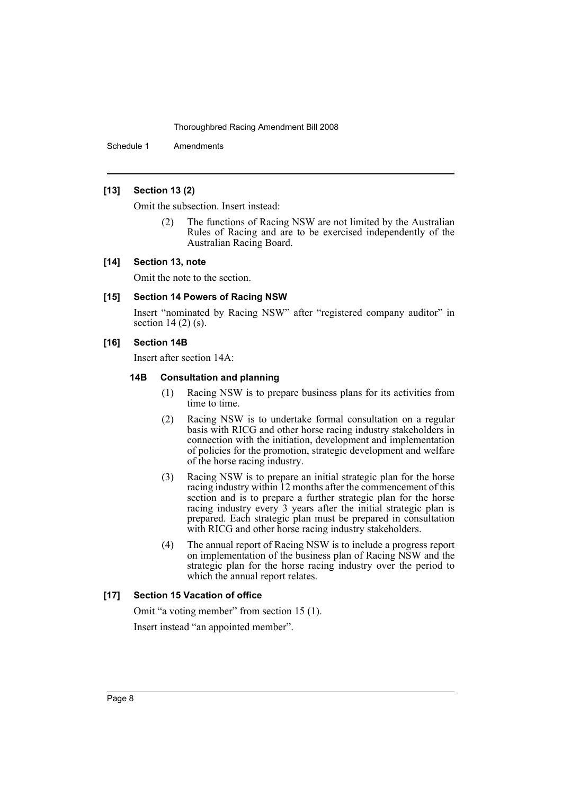Schedule 1 Amendments

# **[13] Section 13 (2)**

Omit the subsection. Insert instead:

(2) The functions of Racing NSW are not limited by the Australian Rules of Racing and are to be exercised independently of the Australian Racing Board.

#### **[14] Section 13, note**

Omit the note to the section.

#### **[15] Section 14 Powers of Racing NSW**

Insert "nominated by Racing NSW" after "registered company auditor" in section 14 $(2)$  (s).

#### **[16] Section 14B**

Insert after section 14A:

#### **14B Consultation and planning**

- (1) Racing NSW is to prepare business plans for its activities from time to time.
- (2) Racing NSW is to undertake formal consultation on a regular basis with RICG and other horse racing industry stakeholders in connection with the initiation, development and implementation of policies for the promotion, strategic development and welfare of the horse racing industry.
- (3) Racing NSW is to prepare an initial strategic plan for the horse racing industry within 12 months after the commencement of this section and is to prepare a further strategic plan for the horse racing industry every 3 years after the initial strategic plan is prepared. Each strategic plan must be prepared in consultation with RICG and other horse racing industry stakeholders.
- (4) The annual report of Racing NSW is to include a progress report on implementation of the business plan of Racing NSW and the strategic plan for the horse racing industry over the period to which the annual report relates.

# **[17] Section 15 Vacation of office**

Omit "a voting member" from section 15 (1). Insert instead "an appointed member".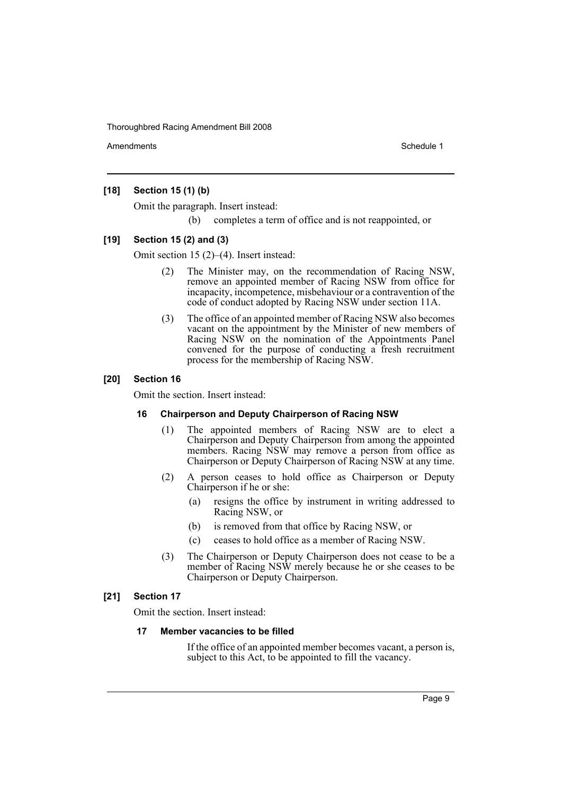Amendments **Amendments** Schedule 1

### **[18] Section 15 (1) (b)**

Omit the paragraph. Insert instead:

(b) completes a term of office and is not reappointed, or

#### **[19] Section 15 (2) and (3)**

Omit section 15 (2)–(4). Insert instead:

- (2) The Minister may, on the recommendation of Racing NSW, remove an appointed member of Racing NSW from office for incapacity, incompetence, misbehaviour or a contravention of the code of conduct adopted by Racing NSW under section 11A.
- (3) The office of an appointed member of Racing NSW also becomes vacant on the appointment by the Minister of new members of Racing NSW on the nomination of the Appointments Panel convened for the purpose of conducting a fresh recruitment process for the membership of Racing NSW.

#### **[20] Section 16**

Omit the section. Insert instead:

#### **16 Chairperson and Deputy Chairperson of Racing NSW**

- (1) The appointed members of Racing NSW are to elect a Chairperson and Deputy Chairperson from among the appointed members. Racing NSW may remove a person from office as Chairperson or Deputy Chairperson of Racing NSW at any time.
- (2) A person ceases to hold office as Chairperson or Deputy Chairperson if he or she:
	- (a) resigns the office by instrument in writing addressed to Racing NSW, or
	- (b) is removed from that office by Racing NSW, or
	- (c) ceases to hold office as a member of Racing NSW.
- (3) The Chairperson or Deputy Chairperson does not cease to be a member of Racing NSW merely because he or she ceases to be Chairperson or Deputy Chairperson.

# **[21] Section 17**

Omit the section. Insert instead:

#### **17 Member vacancies to be filled**

If the office of an appointed member becomes vacant, a person is, subject to this Act, to be appointed to fill the vacancy.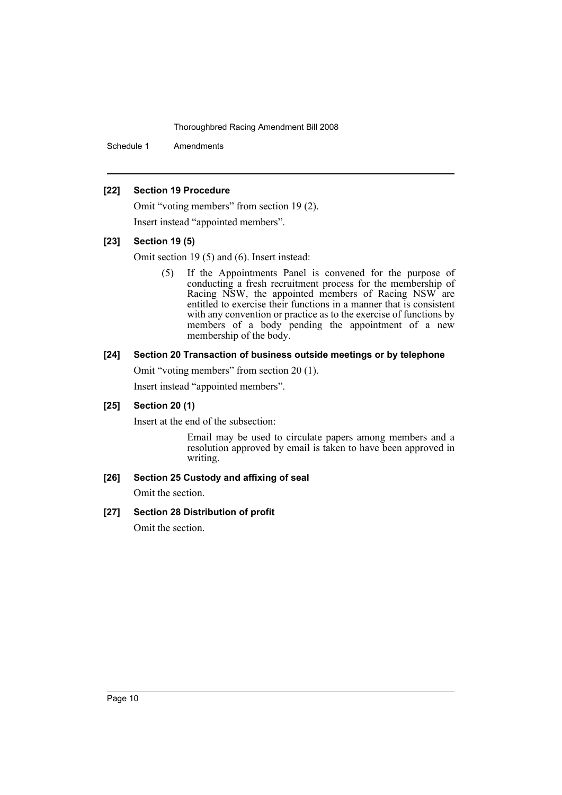Schedule 1 Amendments

#### **[22] Section 19 Procedure**

Omit "voting members" from section 19 (2). Insert instead "appointed members".

# **[23] Section 19 (5)**

Omit section 19 (5) and (6). Insert instead:

(5) If the Appointments Panel is convened for the purpose of conducting a fresh recruitment process for the membership of Racing NSW, the appointed members of Racing NSW are entitled to exercise their functions in a manner that is consistent with any convention or practice as to the exercise of functions by members of a body pending the appointment of a new membership of the body.

#### **[24] Section 20 Transaction of business outside meetings or by telephone**

Omit "voting members" from section 20 (1).

Insert instead "appointed members".

# **[25] Section 20 (1)**

Insert at the end of the subsection:

Email may be used to circulate papers among members and a resolution approved by email is taken to have been approved in writing.

# **[26] Section 25 Custody and affixing of seal**

Omit the section.

# **[27] Section 28 Distribution of profit**

Omit the section.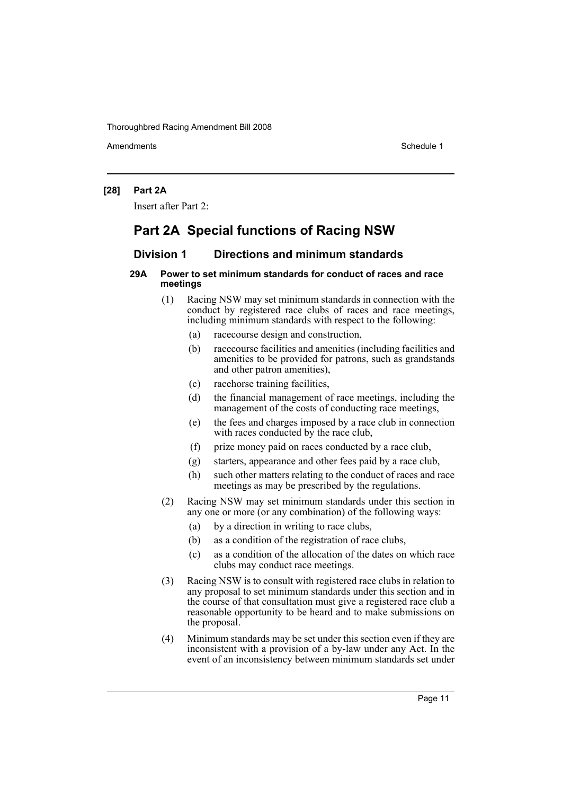Amendments **Schedule 1** and the set of the set of the set of the set of the set of the set of the set of the set of the set of the set of the set of the set of the set of the set of the set of the set of the set of the set

#### **[28] Part 2A**

Insert after Part 2:

# **Part 2A Special functions of Racing NSW**

# **Division 1 Directions and minimum standards**

#### **29A Power to set minimum standards for conduct of races and race meetings**

- (1) Racing NSW may set minimum standards in connection with the conduct by registered race clubs of races and race meetings, including minimum standards with respect to the following:
	- (a) racecourse design and construction,
	- (b) racecourse facilities and amenities (including facilities and amenities to be provided for patrons, such as grandstands and other patron amenities),
	- (c) racehorse training facilities,
	- (d) the financial management of race meetings, including the management of the costs of conducting race meetings,
	- (e) the fees and charges imposed by a race club in connection with races conducted by the race club,
	- (f) prize money paid on races conducted by a race club,
	- (g) starters, appearance and other fees paid by a race club,
	- (h) such other matters relating to the conduct of races and race meetings as may be prescribed by the regulations.
- (2) Racing NSW may set minimum standards under this section in any one or more (or any combination) of the following ways:
	- (a) by a direction in writing to race clubs,
	- (b) as a condition of the registration of race clubs,
	- (c) as a condition of the allocation of the dates on which race clubs may conduct race meetings.
- (3) Racing NSW is to consult with registered race clubs in relation to any proposal to set minimum standards under this section and in the course of that consultation must give a registered race club a reasonable opportunity to be heard and to make submissions on the proposal.
- (4) Minimum standards may be set under this section even if they are inconsistent with a provision of a by-law under any Act. In the event of an inconsistency between minimum standards set under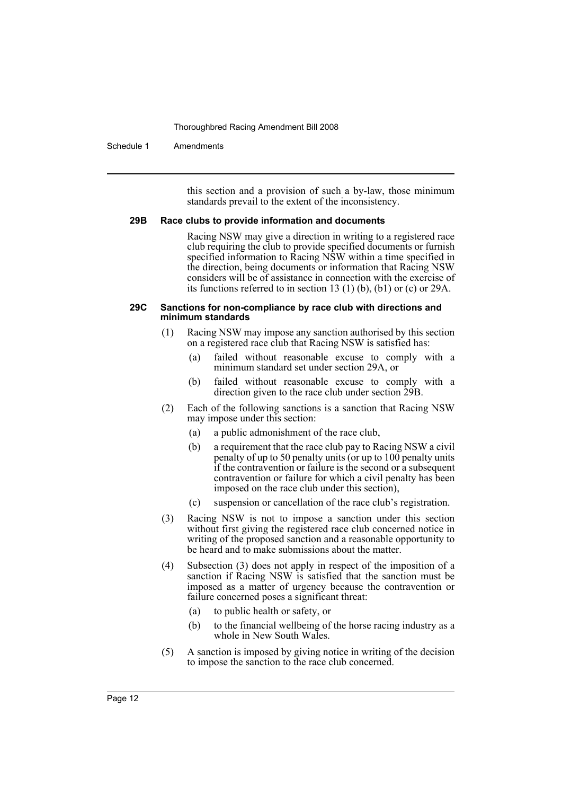#### Schedule 1 Amendments

this section and a provision of such a by-law, those minimum standards prevail to the extent of the inconsistency.

#### **29B Race clubs to provide information and documents**

Racing NSW may give a direction in writing to a registered race club requiring the club to provide specified documents or furnish specified information to Racing NSW within a time specified in the direction, being documents or information that Racing NSW considers will be of assistance in connection with the exercise of its functions referred to in section 13 (1) (b), (b1) or (c) or 29A.

#### **29C Sanctions for non-compliance by race club with directions and minimum standards**

- (1) Racing NSW may impose any sanction authorised by this section on a registered race club that Racing NSW is satisfied has:
	- (a) failed without reasonable excuse to comply with a minimum standard set under section 29A, or
	- (b) failed without reasonable excuse to comply with a direction given to the race club under section 29B.
- (2) Each of the following sanctions is a sanction that Racing NSW may impose under this section:
	- (a) a public admonishment of the race club,
	- (b) a requirement that the race club pay to Racing NSW a civil penalty of up to 50 penalty units (or up to 100 penalty units if the contravention or failure is the second or a subsequent contravention or failure for which a civil penalty has been imposed on the race club under this section),
	- (c) suspension or cancellation of the race club's registration.
- (3) Racing NSW is not to impose a sanction under this section without first giving the registered race club concerned notice in writing of the proposed sanction and a reasonable opportunity to be heard and to make submissions about the matter.
- (4) Subsection (3) does not apply in respect of the imposition of a sanction if Racing NSW is satisfied that the sanction must be imposed as a matter of urgency because the contravention or failure concerned poses a significant threat:
	- (a) to public health or safety, or
	- (b) to the financial wellbeing of the horse racing industry as a whole in New South Wales.
- (5) A sanction is imposed by giving notice in writing of the decision to impose the sanction to the race club concerned.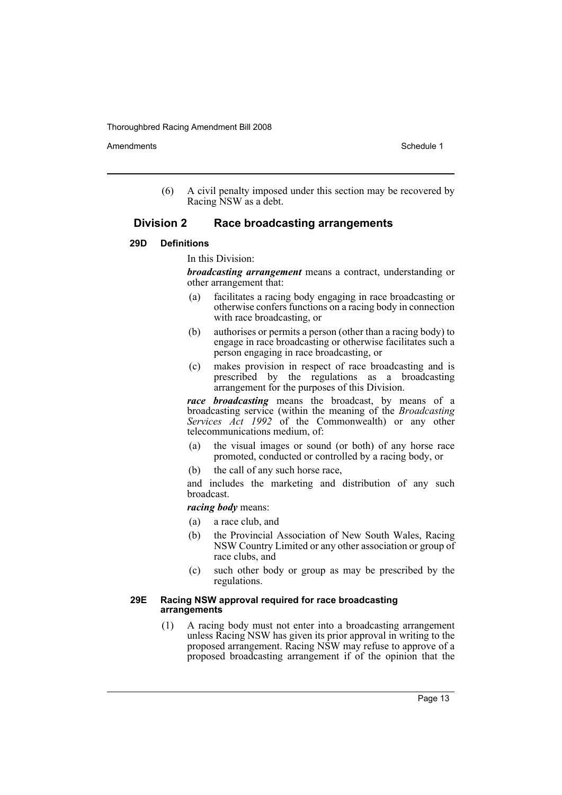Amendments **Schedule 1** and the set of the set of the set of the set of the set of the set of the set of the set of the set of the set of the set of the set of the set of the set of the set of the set of the set of the set

(6) A civil penalty imposed under this section may be recovered by Racing NSW as a debt.

# **Division 2 Race broadcasting arrangements**

#### **29D Definitions**

In this Division:

*broadcasting arrangement* means a contract, understanding or other arrangement that:

- (a) facilitates a racing body engaging in race broadcasting or otherwise confers functions on a racing body in connection with race broadcasting, or
- (b) authorises or permits a person (other than a racing body) to engage in race broadcasting or otherwise facilitates such a person engaging in race broadcasting, or
- (c) makes provision in respect of race broadcasting and is prescribed by the regulations as a broadcasting arrangement for the purposes of this Division.

*race broadcasting* means the broadcast, by means of a broadcasting service (within the meaning of the *Broadcasting Services Act 1992* of the Commonwealth) or any other telecommunications medium, of:

- (a) the visual images or sound (or both) of any horse race promoted, conducted or controlled by a racing body, or
- (b) the call of any such horse race,

and includes the marketing and distribution of any such broadcast.

*racing body* means:

- (a) a race club, and
- (b) the Provincial Association of New South Wales, Racing NSW Country Limited or any other association or group of race clubs, and
- (c) such other body or group as may be prescribed by the regulations.

#### **29E Racing NSW approval required for race broadcasting arrangements**

(1) A racing body must not enter into a broadcasting arrangement unless Racing NSW has given its prior approval in writing to the proposed arrangement. Racing NSW may refuse to approve of a proposed broadcasting arrangement if of the opinion that the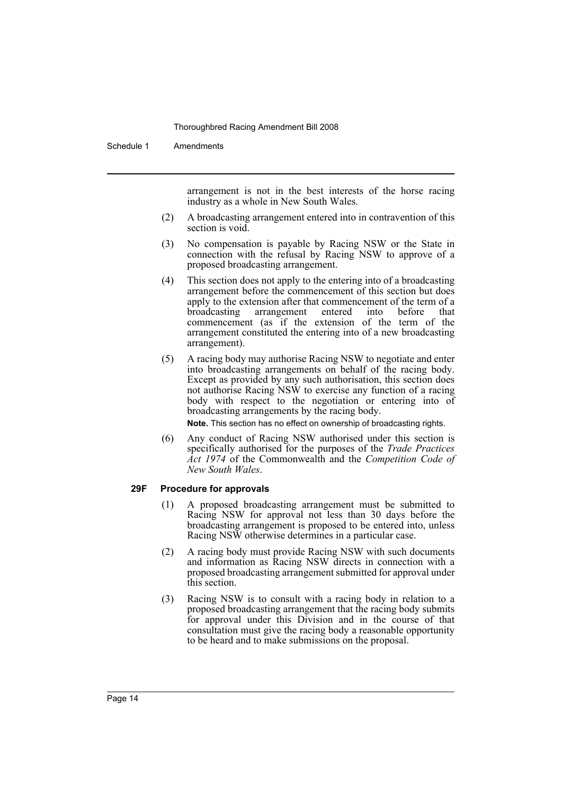Schedule 1 Amendments

arrangement is not in the best interests of the horse racing industry as a whole in New South Wales.

- (2) A broadcasting arrangement entered into in contravention of this section is void.
- (3) No compensation is payable by Racing NSW or the State in connection with the refusal by Racing NSW to approve of a proposed broadcasting arrangement.
- (4) This section does not apply to the entering into of a broadcasting arrangement before the commencement of this section but does apply to the extension after that commencement of the term of a broadcasting arrangement entered into before that commencement (as if the extension of the term of the arrangement constituted the entering into of a new broadcasting arrangement).
- (5) A racing body may authorise Racing NSW to negotiate and enter into broadcasting arrangements on behalf of the racing body. Except as provided by any such authorisation, this section does not authorise Racing NSW to exercise any function of a racing body with respect to the negotiation or entering into of broadcasting arrangements by the racing body.

**Note.** This section has no effect on ownership of broadcasting rights.

(6) Any conduct of Racing NSW authorised under this section is specifically authorised for the purposes of the *Trade Practices Act 1974* of the Commonwealth and the *Competition Code of New South Wales*.

#### **29F Procedure for approvals**

- (1) A proposed broadcasting arrangement must be submitted to Racing NSW for approval not less than 30 days before the broadcasting arrangement is proposed to be entered into, unless Racing NSW otherwise determines in a particular case.
- (2) A racing body must provide Racing NSW with such documents and information as Racing NSW directs in connection with a proposed broadcasting arrangement submitted for approval under this section.
- (3) Racing NSW is to consult with a racing body in relation to a proposed broadcasting arrangement that the racing body submits for approval under this Division and in the course of that consultation must give the racing body a reasonable opportunity to be heard and to make submissions on the proposal.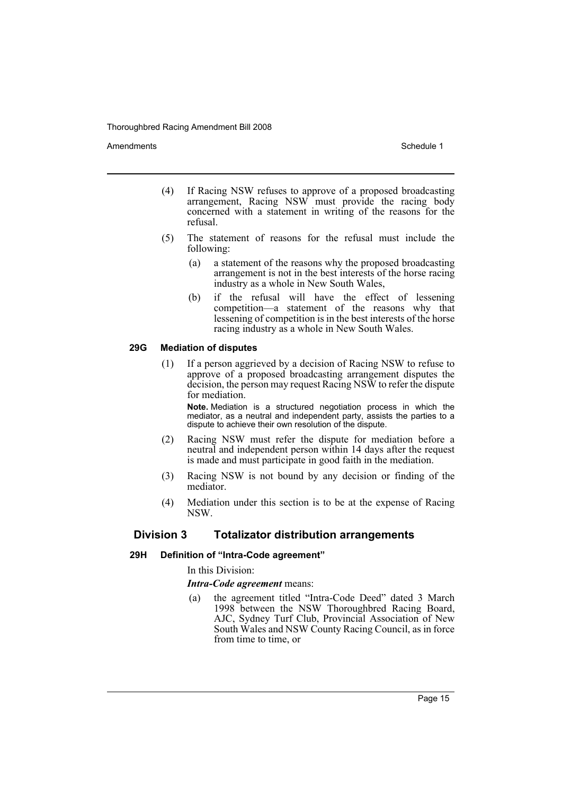Amendments **Schedule 1** and the set of the set of the set of the set of the set of the set of the set of the set of the set of the set of the set of the set of the set of the set of the set of the set of the set of the set

- (4) If Racing NSW refuses to approve of a proposed broadcasting arrangement, Racing NSW must provide the racing body concerned with a statement in writing of the reasons for the refusal.
- (5) The statement of reasons for the refusal must include the following:
	- (a) a statement of the reasons why the proposed broadcasting arrangement is not in the best interests of the horse racing industry as a whole in New South Wales,
	- (b) if the refusal will have the effect of lessening competition—a statement of the reasons why that lessening of competition is in the best interests of the horse racing industry as a whole in New South Wales.

### **29G Mediation of disputes**

(1) If a person aggrieved by a decision of Racing NSW to refuse to approve of a proposed broadcasting arrangement disputes the decision, the person may request Racing NSW to refer the dispute for mediation.

**Note.** Mediation is a structured negotiation process in which the mediator, as a neutral and independent party, assists the parties to a dispute to achieve their own resolution of the dispute.

- (2) Racing NSW must refer the dispute for mediation before a neutral and independent person within 14 days after the request is made and must participate in good faith in the mediation.
- (3) Racing NSW is not bound by any decision or finding of the mediator.
- (4) Mediation under this section is to be at the expense of Racing NSW.

# **Division 3 Totalizator distribution arrangements**

# **29H Definition of "Intra-Code agreement"**

In this Division:

#### *Intra-Code agreement* means:

(a) the agreement titled "Intra-Code Deed" dated 3 March 1998 between the NSW Thoroughbred Racing Board, AJC, Sydney Turf Club, Provincial Association of New South Wales and NSW County Racing Council, as in force from time to time, or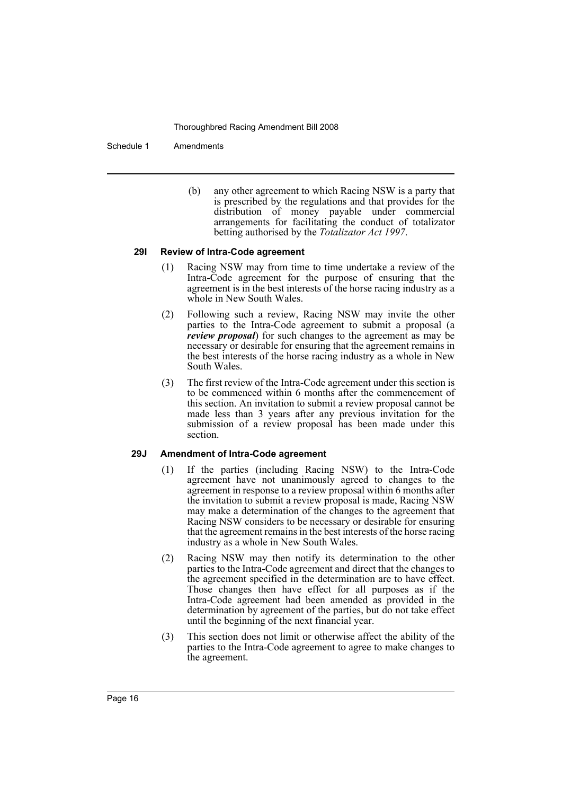Schedule 1 Amendments

(b) any other agreement to which Racing NSW is a party that is prescribed by the regulations and that provides for the distribution of money payable under commercial arrangements for facilitating the conduct of totalizator betting authorised by the *Totalizator Act 1997*.

#### **29I Review of Intra-Code agreement**

- (1) Racing NSW may from time to time undertake a review of the Intra-Code agreement for the purpose of ensuring that the agreement is in the best interests of the horse racing industry as a whole in New South Wales.
- (2) Following such a review, Racing NSW may invite the other parties to the Intra-Code agreement to submit a proposal (a *review proposal*) for such changes to the agreement as may be necessary or desirable for ensuring that the agreement remains in the best interests of the horse racing industry as a whole in New South Wales.
- (3) The first review of the Intra-Code agreement under this section is to be commenced within 6 months after the commencement of this section. An invitation to submit a review proposal cannot be made less than 3 years after any previous invitation for the submission of a review proposal has been made under this section.

#### **29J Amendment of Intra-Code agreement**

- (1) If the parties (including Racing NSW) to the Intra-Code agreement have not unanimously agreed to changes to the agreement in response to a review proposal within 6 months after the invitation to submit a review proposal is made, Racing NSW may make a determination of the changes to the agreement that Racing NSW considers to be necessary or desirable for ensuring that the agreement remains in the best interests of the horse racing industry as a whole in New South Wales.
- (2) Racing NSW may then notify its determination to the other parties to the Intra-Code agreement and direct that the changes to the agreement specified in the determination are to have effect. Those changes then have effect for all purposes as if the Intra-Code agreement had been amended as provided in the determination by agreement of the parties, but do not take effect until the beginning of the next financial year.
- (3) This section does not limit or otherwise affect the ability of the parties to the Intra-Code agreement to agree to make changes to the agreement.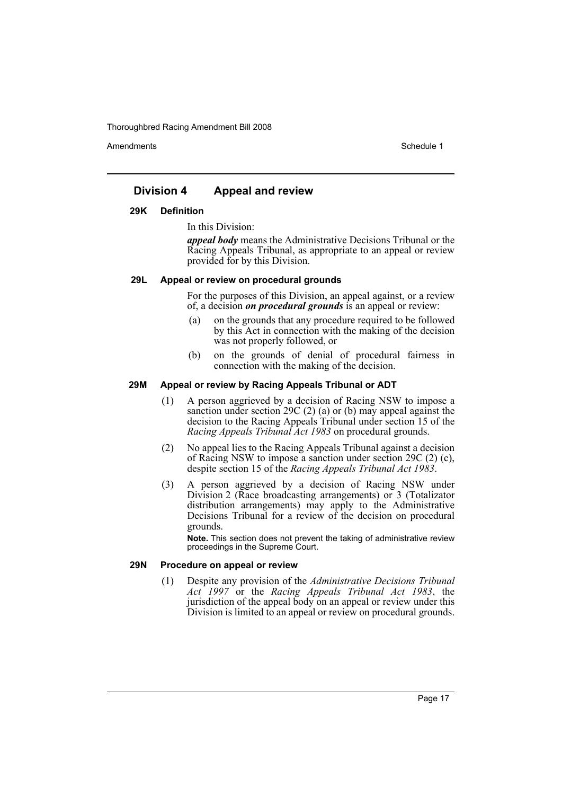Amendments **Amendments** Schedule 1

# **Division 4 Appeal and review**

#### **29K Definition**

In this Division:

*appeal body* means the Administrative Decisions Tribunal or the Racing Appeals Tribunal, as appropriate to an appeal or review provided for by this Division.

#### **29L Appeal or review on procedural grounds**

For the purposes of this Division, an appeal against, or a review of, a decision *on procedural grounds* is an appeal or review:

- (a) on the grounds that any procedure required to be followed by this Act in connection with the making of the decision was not properly followed, or
- (b) on the grounds of denial of procedural fairness in connection with the making of the decision.

#### **29M Appeal or review by Racing Appeals Tribunal or ADT**

- (1) A person aggrieved by a decision of Racing NSW to impose a sanction under section 29C (2) (a) or (b) may appeal against the decision to the Racing Appeals Tribunal under section 15 of the *Racing Appeals Tribunal Act 1983* on procedural grounds.
- (2) No appeal lies to the Racing Appeals Tribunal against a decision of Racing NSW to impose a sanction under section 29C (2) (c), despite section 15 of the *Racing Appeals Tribunal Act 1983*.
- (3) A person aggrieved by a decision of Racing NSW under Division 2 (Race broadcasting arrangements) or 3 (Totalizator distribution arrangements) may apply to the Administrative Decisions Tribunal for a review of the decision on procedural grounds.

**Note.** This section does not prevent the taking of administrative review proceedings in the Supreme Court.

#### **29N Procedure on appeal or review**

(1) Despite any provision of the *Administrative Decisions Tribunal Act 1997* or the *Racing Appeals Tribunal Act 1983*, the jurisdiction of the appeal body on an appeal or review under this Division is limited to an appeal or review on procedural grounds.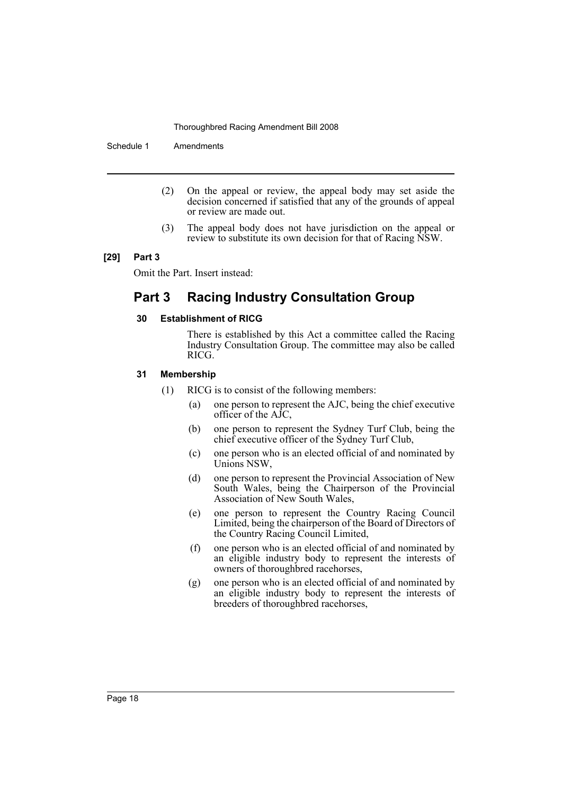Schedule 1 Amendments

- (2) On the appeal or review, the appeal body may set aside the decision concerned if satisfied that any of the grounds of appeal or review are made out.
- (3) The appeal body does not have jurisdiction on the appeal or review to substitute its own decision for that of Racing NSW.

#### **[29] Part 3**

Omit the Part. Insert instead:

# **Part 3 Racing Industry Consultation Group**

#### **30 Establishment of RICG**

There is established by this Act a committee called the Racing Industry Consultation Group. The committee may also be called RICG.

#### **31 Membership**

- (1) RICG is to consist of the following members:
	- (a) one person to represent the AJC, being the chief executive officer of the AJC,
	- (b) one person to represent the Sydney Turf Club, being the chief executive officer of the Sydney Turf Club,
	- (c) one person who is an elected official of and nominated by Unions NSW,
	- (d) one person to represent the Provincial Association of New South Wales, being the Chairperson of the Provincial Association of New South Wales,
	- (e) one person to represent the Country Racing Council Limited, being the chairperson of the Board of Directors of the Country Racing Council Limited,
	- (f) one person who is an elected official of and nominated by an eligible industry body to represent the interests of owners of thoroughbred racehorses,
	- (g) one person who is an elected official of and nominated by an eligible industry body to represent the interests of breeders of thoroughbred racehorses,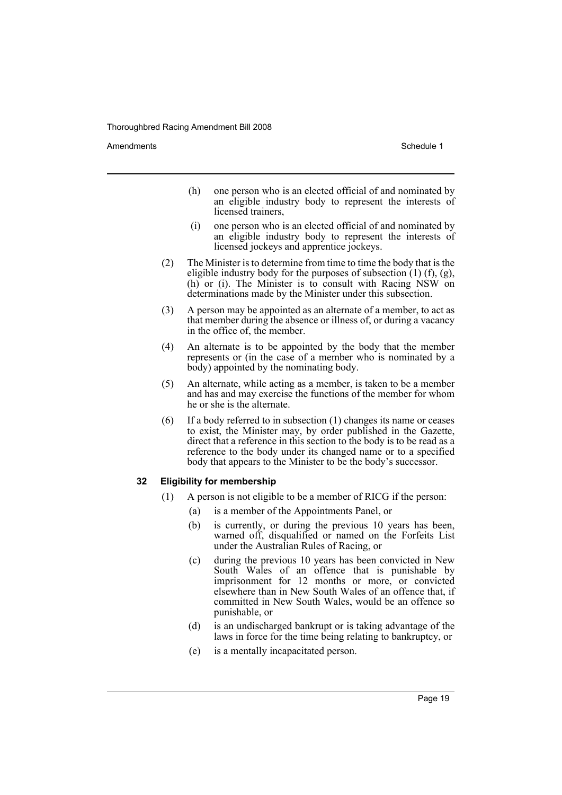Amendments **Amendments** Schedule 1

- (h) one person who is an elected official of and nominated by an eligible industry body to represent the interests of licensed trainers,
- (i) one person who is an elected official of and nominated by an eligible industry body to represent the interests of licensed jockeys and apprentice jockeys.
- (2) The Minister is to determine from time to time the body that is the eligible industry body for the purposes of subsection  $(1)$  (f), (g), (h) or (i). The Minister is to consult with Racing NSW on determinations made by the Minister under this subsection.
- (3) A person may be appointed as an alternate of a member, to act as that member during the absence or illness of, or during a vacancy in the office of, the member.
- (4) An alternate is to be appointed by the body that the member represents or (in the case of a member who is nominated by a body) appointed by the nominating body.
- (5) An alternate, while acting as a member, is taken to be a member and has and may exercise the functions of the member for whom he or she is the alternate.
- (6) If a body referred to in subsection (1) changes its name or ceases to exist, the Minister may, by order published in the Gazette, direct that a reference in this section to the body is to be read as a reference to the body under its changed name or to a specified body that appears to the Minister to be the body's successor.

#### **32 Eligibility for membership**

- (1) A person is not eligible to be a member of RICG if the person:
	- (a) is a member of the Appointments Panel, or
	- (b) is currently, or during the previous 10 years has been, warned off, disqualified or named on the Forfeits List under the Australian Rules of Racing, or
	- (c) during the previous 10 years has been convicted in New South Wales of an offence that is punishable by imprisonment for 12 months or more, or convicted elsewhere than in New South Wales of an offence that, if committed in New South Wales, would be an offence so punishable, or
	- (d) is an undischarged bankrupt or is taking advantage of the laws in force for the time being relating to bankruptcy, or
	- (e) is a mentally incapacitated person.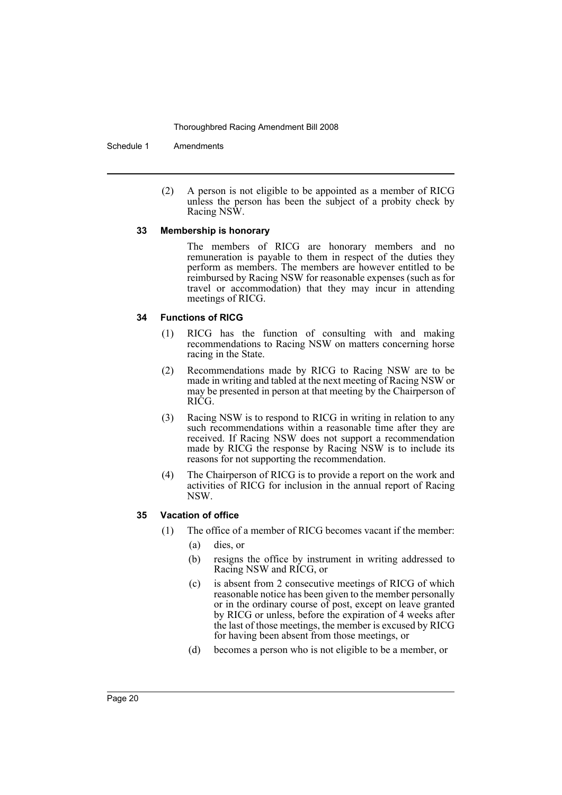Schedule 1 Amendments

(2) A person is not eligible to be appointed as a member of RICG unless the person has been the subject of a probity check by Racing NSW.

#### **33 Membership is honorary**

The members of RICG are honorary members and no remuneration is payable to them in respect of the duties they perform as members. The members are however entitled to be reimbursed by Racing NSW for reasonable expenses (such as for travel or accommodation) that they may incur in attending meetings of RICG.

# **34 Functions of RICG**

- (1) RICG has the function of consulting with and making recommendations to Racing NSW on matters concerning horse racing in the State.
- (2) Recommendations made by RICG to Racing NSW are to be made in writing and tabled at the next meeting of Racing NSW or may be presented in person at that meeting by the Chairperson of RICG.
- (3) Racing NSW is to respond to RICG in writing in relation to any such recommendations within a reasonable time after they are received. If Racing NSW does not support a recommendation made by RICG the response by Racing NSW is to include its reasons for not supporting the recommendation.
- (4) The Chairperson of RICG is to provide a report on the work and activities of RICG for inclusion in the annual report of Racing NSW.

# **35 Vacation of office**

- (1) The office of a member of RICG becomes vacant if the member:
	- (a) dies, or
	- (b) resigns the office by instrument in writing addressed to Racing NSW and RICG, or
	- (c) is absent from 2 consecutive meetings of RICG of which reasonable notice has been given to the member personally or in the ordinary course of post, except on leave granted by RICG or unless, before the expiration of 4 weeks after the last of those meetings, the member is excused by RICG for having been absent from those meetings, or
	- (d) becomes a person who is not eligible to be a member, or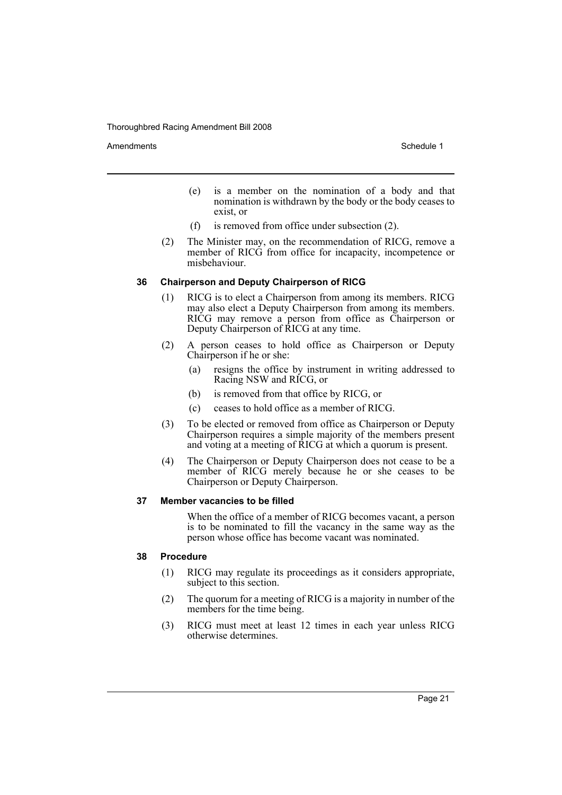Amendments **Schedule 1** and the set of the set of the set of the set of the set of the set of the set of the set of the set of the set of the set of the set of the set of the set of the set of the set of the set of the set

- (e) is a member on the nomination of a body and that nomination is withdrawn by the body or the body ceases to exist, or
- (f) is removed from office under subsection (2).
- (2) The Minister may, on the recommendation of RICG, remove a member of RICG from office for incapacity, incompetence or misbehaviour.

#### **36 Chairperson and Deputy Chairperson of RICG**

- (1) RICG is to elect a Chairperson from among its members. RICG may also elect a Deputy Chairperson from among its members. RICG may remove a person from office as Chairperson or Deputy Chairperson of RICG at any time.
- (2) A person ceases to hold office as Chairperson or Deputy Chairperson if he or she:
	- (a) resigns the office by instrument in writing addressed to Racing NSW and RICG, or
	- (b) is removed from that office by RICG, or
	- (c) ceases to hold office as a member of RICG.
- (3) To be elected or removed from office as Chairperson or Deputy Chairperson requires a simple majority of the members present and voting at a meeting of RICG at which a quorum is present.
- (4) The Chairperson or Deputy Chairperson does not cease to be a member of RICG merely because he or she ceases to be Chairperson or Deputy Chairperson.

#### **37 Member vacancies to be filled**

When the office of a member of RICG becomes vacant, a person is to be nominated to fill the vacancy in the same way as the person whose office has become vacant was nominated.

# **38 Procedure**

- (1) RICG may regulate its proceedings as it considers appropriate, subject to this section.
- (2) The quorum for a meeting of RICG is a majority in number of the members for the time being.
- (3) RICG must meet at least 12 times in each year unless RICG otherwise determines.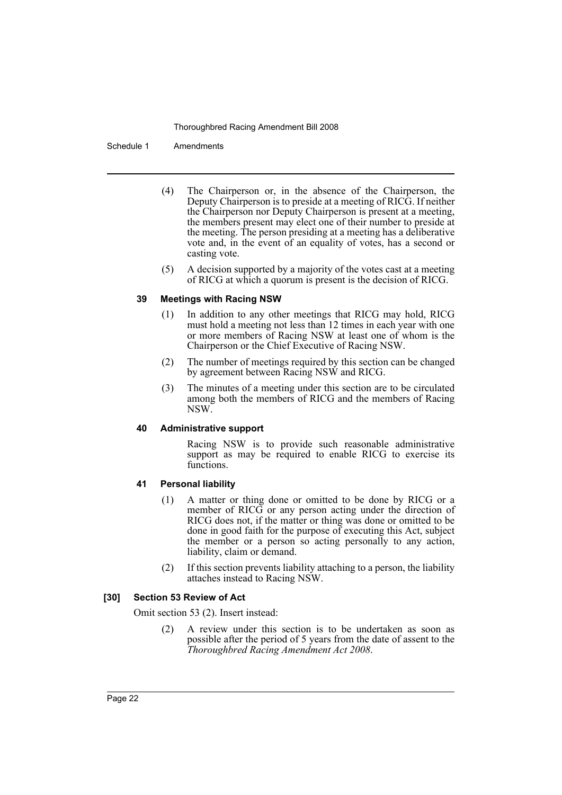Schedule 1 Amendments

- (4) The Chairperson or, in the absence of the Chairperson, the Deputy Chairperson is to preside at a meeting of RICG. If neither the Chairperson nor Deputy Chairperson is present at a meeting, the members present may elect one of their number to preside at the meeting. The person presiding at a meeting has a deliberative vote and, in the event of an equality of votes, has a second or casting vote.
- (5) A decision supported by a majority of the votes cast at a meeting of RICG at which a quorum is present is the decision of RICG.

#### **39 Meetings with Racing NSW**

- (1) In addition to any other meetings that RICG may hold, RICG must hold a meeting not less than 12 times in each year with one or more members of Racing NSW at least one of whom is the Chairperson or the Chief Executive of Racing NSW.
- (2) The number of meetings required by this section can be changed by agreement between Racing NSW and RICG.
- (3) The minutes of a meeting under this section are to be circulated among both the members of RICG and the members of Racing NSW.

#### **40 Administrative support**

Racing NSW is to provide such reasonable administrative support as may be required to enable RICG to exercise its functions.

# **41 Personal liability**

- (1) A matter or thing done or omitted to be done by RICG or a member of RICG or any person acting under the direction of RICG does not, if the matter or thing was done or omitted to be done in good faith for the purpose of executing this Act, subject the member or a person so acting personally to any action, liability, claim or demand.
- (2) If this section prevents liability attaching to a person, the liability attaches instead to Racing NSW.

#### **[30] Section 53 Review of Act**

Omit section 53 (2). Insert instead:

(2) A review under this section is to be undertaken as soon as possible after the period of 5 years from the date of assent to the *Thoroughbred Racing Amendment Act 2008*.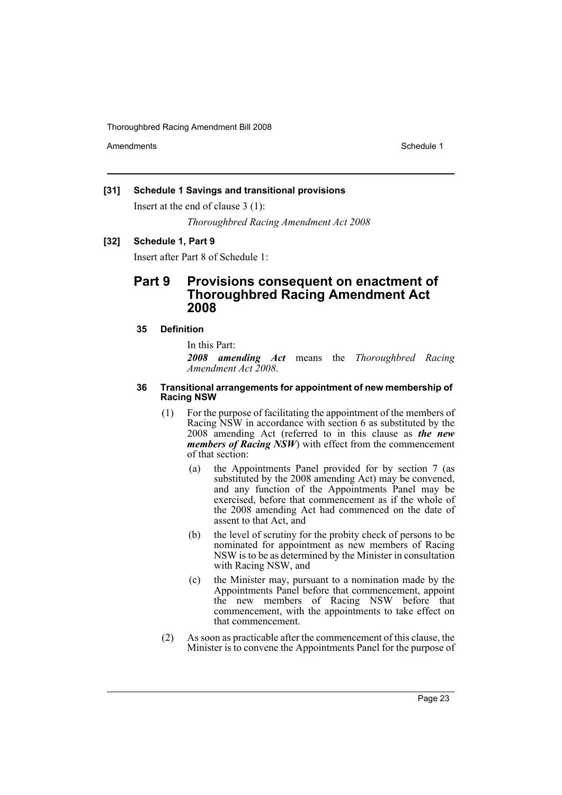Amendments **Amendments** Schedule 1

# **[31] Schedule 1 Savings and transitional provisions**

Insert at the end of clause 3 (1):

*Thoroughbred Racing Amendment Act 2008*

# **[32] Schedule 1, Part 9**

Insert after Part 8 of Schedule 1:

# **Part 9 Provisions consequent on enactment of Thoroughbred Racing Amendment Act 2008**

# **35 Definition**

In this Part:

*2008 amending Act* means the *Thoroughbred Racing Amendment Act 2008*.

#### **36 Transitional arrangements for appointment of new membership of Racing NSW**

- (1) For the purpose of facilitating the appointment of the members of Racing NSW in accordance with section 6 as substituted by the 2008 amending Act (referred to in this clause as *the new members of Racing NSW*) with effect from the commencement of that section:
	- (a) the Appointments Panel provided for by section 7 (as substituted by the 2008 amending Act) may be convened, and any function of the Appointments Panel may be exercised, before that commencement as if the whole of the 2008 amending Act had commenced on the date of assent to that Act, and
	- (b) the level of scrutiny for the probity check of persons to be nominated for appointment as new members of Racing NSW is to be as determined by the Minister in consultation with Racing NSW, and
	- (c) the Minister may, pursuant to a nomination made by the Appointments Panel before that commencement, appoint the new members of Racing NSW before that commencement, with the appointments to take effect on that commencement.
- (2) As soon as practicable after the commencement of this clause, the Minister is to convene the Appointments Panel for the purpose of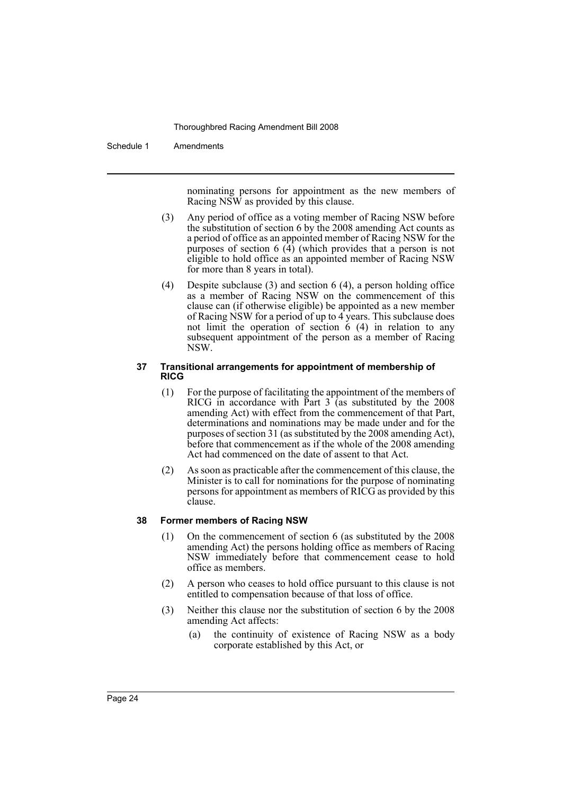#### Schedule 1 Amendments

nominating persons for appointment as the new members of Racing NSW as provided by this clause.

- (3) Any period of office as a voting member of Racing NSW before the substitution of section 6 by the 2008 amending Act counts as a period of office as an appointed member of Racing NSW for the purposes of section 6 (4) (which provides that a person is not eligible to hold office as an appointed member of Racing NSW for more than 8 years in total).
- (4) Despite subclause (3) and section 6 (4), a person holding office as a member of Racing NSW on the commencement of this clause can (if otherwise eligible) be appointed as a new member of Racing NSW for a period of up to  $\overrightarrow{4}$  years. This subclause does not limit the operation of section  $\dot{6}$  (4) in relation to any subsequent appointment of the person as a member of Racing NSW.

#### **37 Transitional arrangements for appointment of membership of RICG**

- (1) For the purpose of facilitating the appointment of the members of RICG in accordance with Part 3 (as substituted by the 2008 amending Act) with effect from the commencement of that Part, determinations and nominations may be made under and for the purposes of section 31 (as substituted by the 2008 amending Act), before that commencement as if the whole of the 2008 amending Act had commenced on the date of assent to that Act.
- (2) As soon as practicable after the commencement of this clause, the Minister is to call for nominations for the purpose of nominating persons for appointment as members of RICG as provided by this clause.

#### **38 Former members of Racing NSW**

- (1) On the commencement of section 6 (as substituted by the 2008 amending Act) the persons holding office as members of Racing NSW immediately before that commencement cease to hold office as members.
- (2) A person who ceases to hold office pursuant to this clause is not entitled to compensation because of that loss of office.
- (3) Neither this clause nor the substitution of section 6 by the 2008 amending Act affects:
	- (a) the continuity of existence of Racing NSW as a body corporate established by this Act, or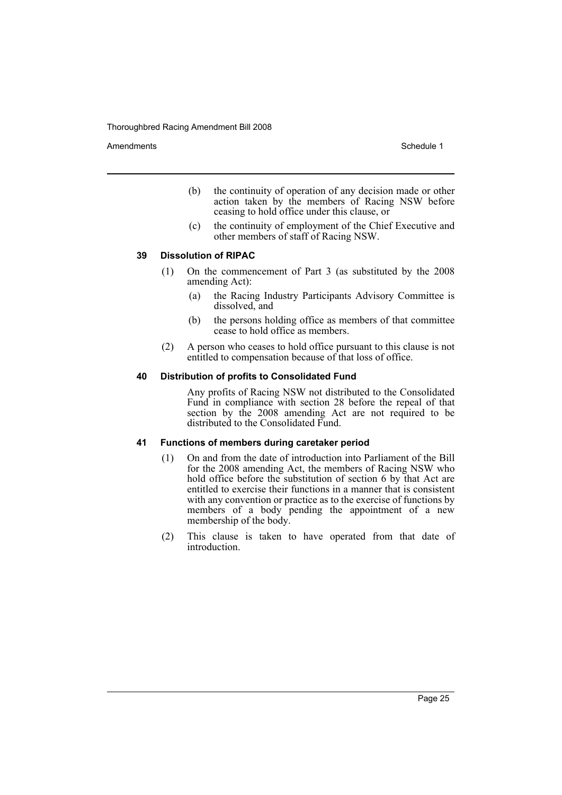Amendments **Amendments** Schedule 1

- (b) the continuity of operation of any decision made or other action taken by the members of Racing NSW before ceasing to hold office under this clause, or
- (c) the continuity of employment of the Chief Executive and other members of staff of Racing NSW.

#### **39 Dissolution of RIPAC**

- (1) On the commencement of Part 3 (as substituted by the 2008 amending Act):
	- (a) the Racing Industry Participants Advisory Committee is dissolved, and
	- (b) the persons holding office as members of that committee cease to hold office as members.
- (2) A person who ceases to hold office pursuant to this clause is not entitled to compensation because of that loss of office.

#### **40 Distribution of profits to Consolidated Fund**

Any profits of Racing NSW not distributed to the Consolidated Fund in compliance with section 28 before the repeal of that section by the 2008 amending Act are not required to be distributed to the Consolidated Fund.

#### **41 Functions of members during caretaker period**

- (1) On and from the date of introduction into Parliament of the Bill for the 2008 amending Act, the members of Racing NSW who hold office before the substitution of section 6 by that Act are entitled to exercise their functions in a manner that is consistent with any convention or practice as to the exercise of functions by members of a body pending the appointment of a new membership of the body.
- (2) This clause is taken to have operated from that date of introduction.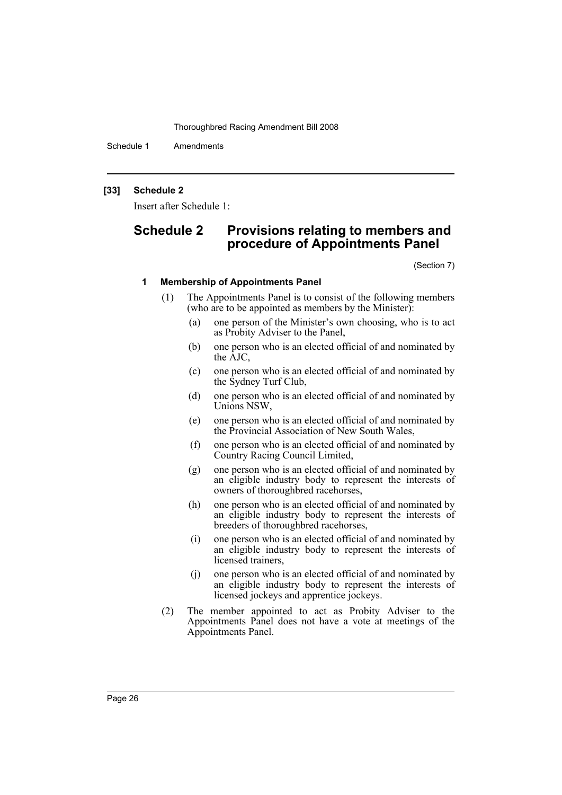Schedule 1 Amendments

### **[33] Schedule 2**

Insert after Schedule 1:

# **Schedule 2 Provisions relating to members and procedure of Appointments Panel**

(Section 7)

#### **1 Membership of Appointments Panel**

- (1) The Appointments Panel is to consist of the following members (who are to be appointed as members by the Minister):
	- (a) one person of the Minister's own choosing, who is to act as Probity Adviser to the Panel,
	- (b) one person who is an elected official of and nominated by the AJC,
	- (c) one person who is an elected official of and nominated by the Sydney Turf Club,
	- (d) one person who is an elected official of and nominated by Unions NSW,
	- (e) one person who is an elected official of and nominated by the Provincial Association of New South Wales,
	- (f) one person who is an elected official of and nominated by Country Racing Council Limited,
	- (g) one person who is an elected official of and nominated by an eligible industry body to represent the interests of owners of thoroughbred racehorses,
	- (h) one person who is an elected official of and nominated by an eligible industry body to represent the interests of breeders of thoroughbred racehorses,
	- (i) one person who is an elected official of and nominated by an eligible industry body to represent the interests of licensed trainers,
	- (j) one person who is an elected official of and nominated by an eligible industry body to represent the interests of licensed jockeys and apprentice jockeys.
- (2) The member appointed to act as Probity Adviser to the Appointments Panel does not have a vote at meetings of the Appointments Panel.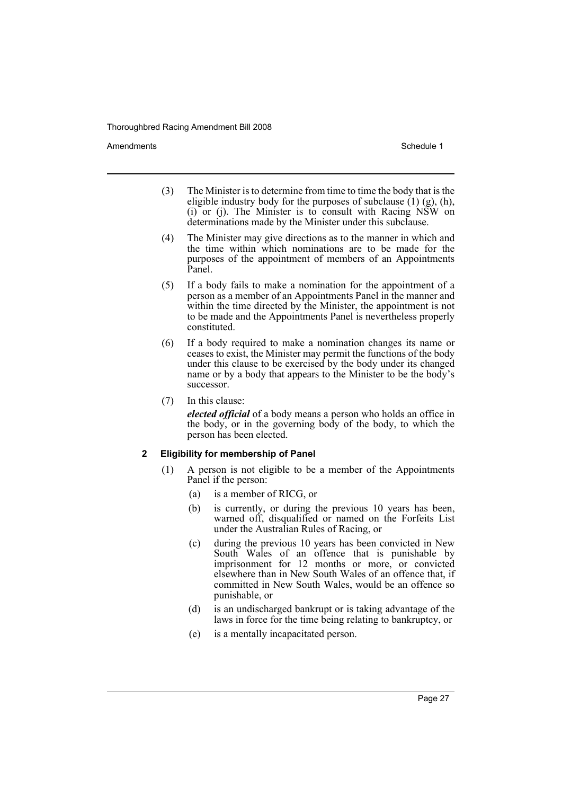Amendments **Amendments** Schedule 1

- (3) The Minister is to determine from time to time the body that is the eligible industry body for the purposes of subclause  $(1)$  (g), (h), (i) or (j). The Minister is to consult with Racing NSW on determinations made by the Minister under this subclause.
- (4) The Minister may give directions as to the manner in which and the time within which nominations are to be made for the purposes of the appointment of members of an Appointments Panel.
- (5) If a body fails to make a nomination for the appointment of a person as a member of an Appointments Panel in the manner and within the time directed by the Minister, the appointment is not to be made and the Appointments Panel is nevertheless properly constituted.
- (6) If a body required to make a nomination changes its name or ceases to exist, the Minister may permit the functions of the body under this clause to be exercised by the body under its changed name or by a body that appears to the Minister to be the body's successor.
- (7) In this clause:

*elected official* of a body means a person who holds an office in the body, or in the governing body of the body, to which the person has been elected.

# **2 Eligibility for membership of Panel**

- (1) A person is not eligible to be a member of the Appointments Panel if the person:
	- (a) is a member of RICG, or
	- (b) is currently, or during the previous 10 years has been, warned off, disqualified or named on the Forfeits List under the Australian Rules of Racing, or
	- (c) during the previous 10 years has been convicted in New South Wales of an offence that is punishable by imprisonment for 12 months or more, or convicted elsewhere than in New South Wales of an offence that, if committed in New South Wales, would be an offence so punishable, or
	- (d) is an undischarged bankrupt or is taking advantage of the laws in force for the time being relating to bankruptcy, or
	- (e) is a mentally incapacitated person.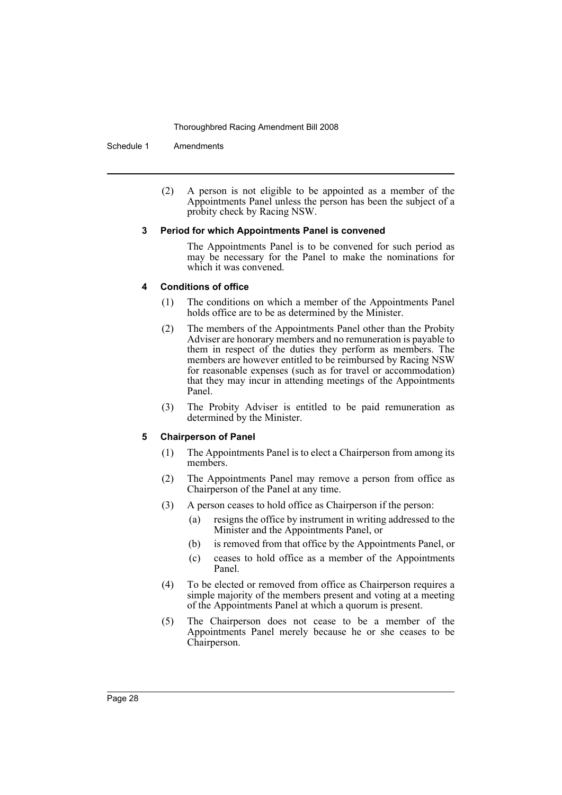Schedule 1 Amendments

(2) A person is not eligible to be appointed as a member of the Appointments Panel unless the person has been the subject of a probity check by Racing NSW.

#### **3 Period for which Appointments Panel is convened**

The Appointments Panel is to be convened for such period as may be necessary for the Panel to make the nominations for which it was convened.

#### **4 Conditions of office**

- (1) The conditions on which a member of the Appointments Panel holds office are to be as determined by the Minister.
- (2) The members of the Appointments Panel other than the Probity Adviser are honorary members and no remuneration is payable to them in respect of the duties they perform as members. The members are however entitled to be reimbursed by Racing NSW for reasonable expenses (such as for travel or accommodation) that they may incur in attending meetings of the Appointments Panel.
- (3) The Probity Adviser is entitled to be paid remuneration as determined by the Minister.

#### **5 Chairperson of Panel**

- (1) The Appointments Panel is to elect a Chairperson from among its members.
- (2) The Appointments Panel may remove a person from office as Chairperson of the Panel at any time.
- (3) A person ceases to hold office as Chairperson if the person:
	- (a) resigns the office by instrument in writing addressed to the Minister and the Appointments Panel, or
	- (b) is removed from that office by the Appointments Panel, or
	- (c) ceases to hold office as a member of the Appointments Panel.
- (4) To be elected or removed from office as Chairperson requires a simple majority of the members present and voting at a meeting of the Appointments Panel at which a quorum is present.
- (5) The Chairperson does not cease to be a member of the Appointments Panel merely because he or she ceases to be Chairperson.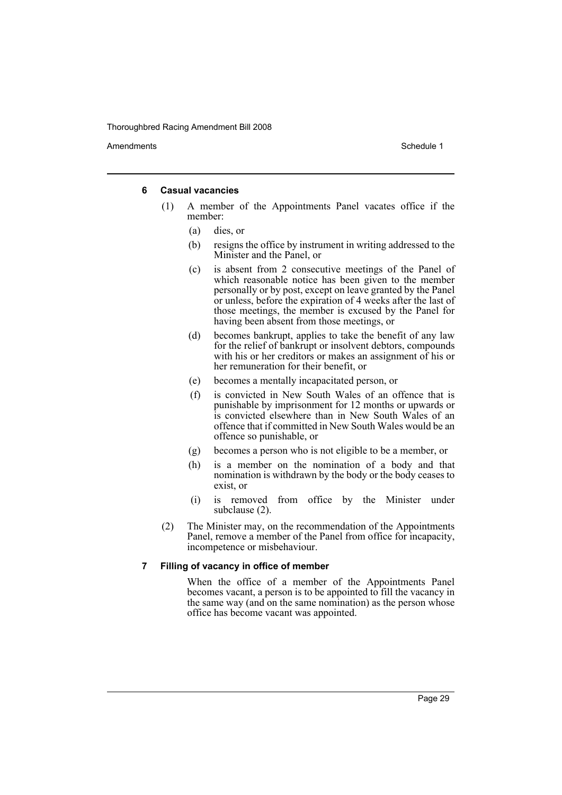Amendments **Amendments** Schedule 1

#### **6 Casual vacancies**

- (1) A member of the Appointments Panel vacates office if the member:
	- (a) dies, or
	- (b) resigns the office by instrument in writing addressed to the Minister and the Panel, or
	- (c) is absent from 2 consecutive meetings of the Panel of which reasonable notice has been given to the member personally or by post, except on leave granted by the Panel or unless, before the expiration of 4 weeks after the last of those meetings, the member is excused by the Panel for having been absent from those meetings, or
	- (d) becomes bankrupt, applies to take the benefit of any law for the relief of bankrupt or insolvent debtors, compounds with his or her creditors or makes an assignment of his or her remuneration for their benefit, or
	- (e) becomes a mentally incapacitated person, or
	- (f) is convicted in New South Wales of an offence that is punishable by imprisonment for 12 months or upwards or is convicted elsewhere than in New South Wales of an offence that if committed in New South Wales would be an offence so punishable, or
	- (g) becomes a person who is not eligible to be a member, or
	- (h) is a member on the nomination of a body and that nomination is withdrawn by the body or the body ceases to exist, or
	- (i) is removed from office by the Minister under subclause (2).
- (2) The Minister may, on the recommendation of the Appointments Panel, remove a member of the Panel from office for incapacity, incompetence or misbehaviour.

#### **7 Filling of vacancy in office of member**

When the office of a member of the Appointments Panel becomes vacant, a person is to be appointed to fill the vacancy in the same way (and on the same nomination) as the person whose office has become vacant was appointed.